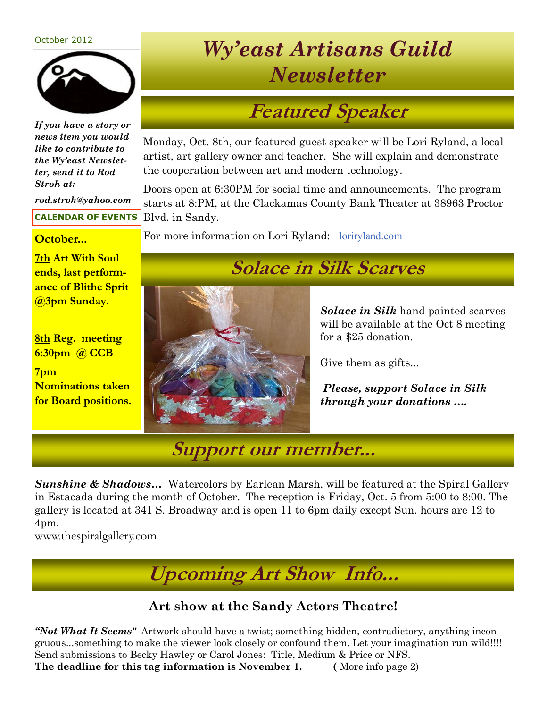#### October 2012



*If you have a story or news item you would like to contribute to the Wy'east Newsletter, send it to Rod Stroh at:*

*rod.stroh@yahoo.com* 

**CALENDAR OF EVENTS**

**7th Art With Soul ends, last performance of Blithe Sprit @3pm Sunday.**

**8th Reg. meeting 6:30pm @ CCB** 

**7pm Nominations taken for Board positions.**

## *Wy'east Artisans Guild Newsletter*

### **Featured Speaker**

Monday, Oct. 8th, our featured guest speaker will be Lori Ryland, a local artist, art gallery owner and teacher. She will explain and demonstrate the cooperation between art and modern technology.

Doors open at 6:30PM for social time and announcements. The program starts at 8:PM, at the Clackamas County Bank Theater at 38963 Proctor Blvd. in Sandy.

**October...** For more information on Lori Ryland: <u>[loriryland.com](http://loriryland.com/)</u>

#### **Solace in Silk Scarves**

*Solace in Silk* hand-painted scarves will be available at the Oct 8 meeting for a \$25 donation.

Give them as gifts...

*Please, support Solace in Silk through your donations ….*

**Support our member...**

**Sunshine & Shadows...** Watercolors by Earlean Marsh, will be featured at the Spiral Gallery in Estacada during the month of October. The reception is Friday, Oct. 5 from 5:00 to 8:00. The gallery is located at 341 S. Broadway and is open 11 to 6pm daily except Sun. hours are 12 to 4pm.

www.thespiralgallery.com

**Upcoming Art Show Info...**

#### **Art show at the Sandy Actors Theatre!**

*"Not What It Seems"* Artwork should have a twist; something hidden, contradictory, anything incongruous...something to make the viewer look closely or confound them. Let your imagination run wild!!!! Send submissions to Becky Hawley or Carol Jones: Title, Medium & Price or NFS. **The deadline for this tag information is November 1.** (More info page 2)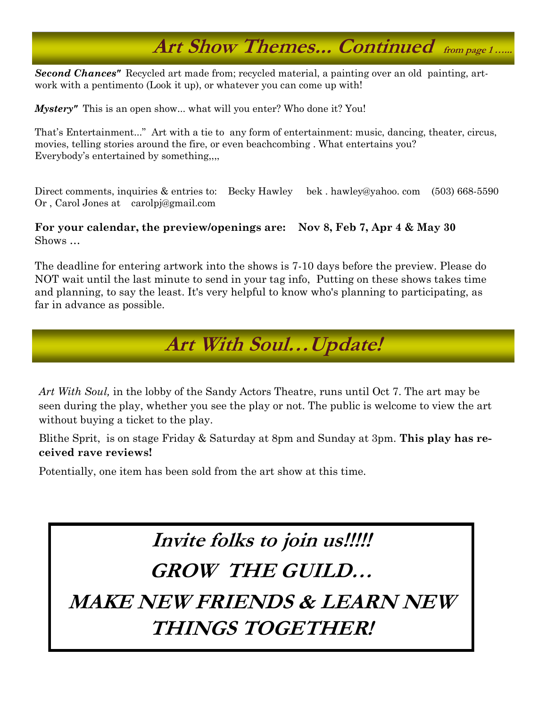## **Art Show Themes... Continued from page 1 …...**

*Second Chances"* Recycled art made from; recycled material, a painting over an old painting, artwork with a pentimento (Look it up), or whatever you can come up with!

*Mystery*" This is an open show... what will you enter? Who done it? You!

That's Entertainment..." Art with a tie to any form of entertainment: music, dancing, theater, circus, movies, telling stories around the fire, or even beachcombing . What entertains you? Everybody's entertained by something,,,,

Direct comments, inquiries & entries to: Becky Hawley bek . hawley@yahoo. com (503) 668-5590 Or , Carol Jones at carolpj@gmail.com

#### **For your calendar, the preview/openings are: Nov 8, Feb 7, Apr 4 & May 30** Shows …

The deadline for entering artwork into the shows is 7-10 days before the preview. Please do NOT wait until the last minute to send in your tag info, Putting on these shows takes time and planning, to say the least. It's very helpful to know who's planning to participating, as far in advance as possible.

#### **Art With Soul…Update!**

*Art With Soul,* in the lobby of the Sandy Actors Theatre, runs until Oct 7. The art may be seen during the play, whether you see the play or not. The public is welcome to view the art without buying a ticket to the play.

Blithe Sprit, is on stage Friday & Saturday at 8pm and Sunday at 3pm. **This play has received rave reviews!** 

Potentially, one item has been sold from the art show at this time.

# **Invite folks to join us!!!!!**

#### **GROW THE GUILD…**

**MAKE NEW FRIENDS & LEARN NEW THINGS TOGETHER!**